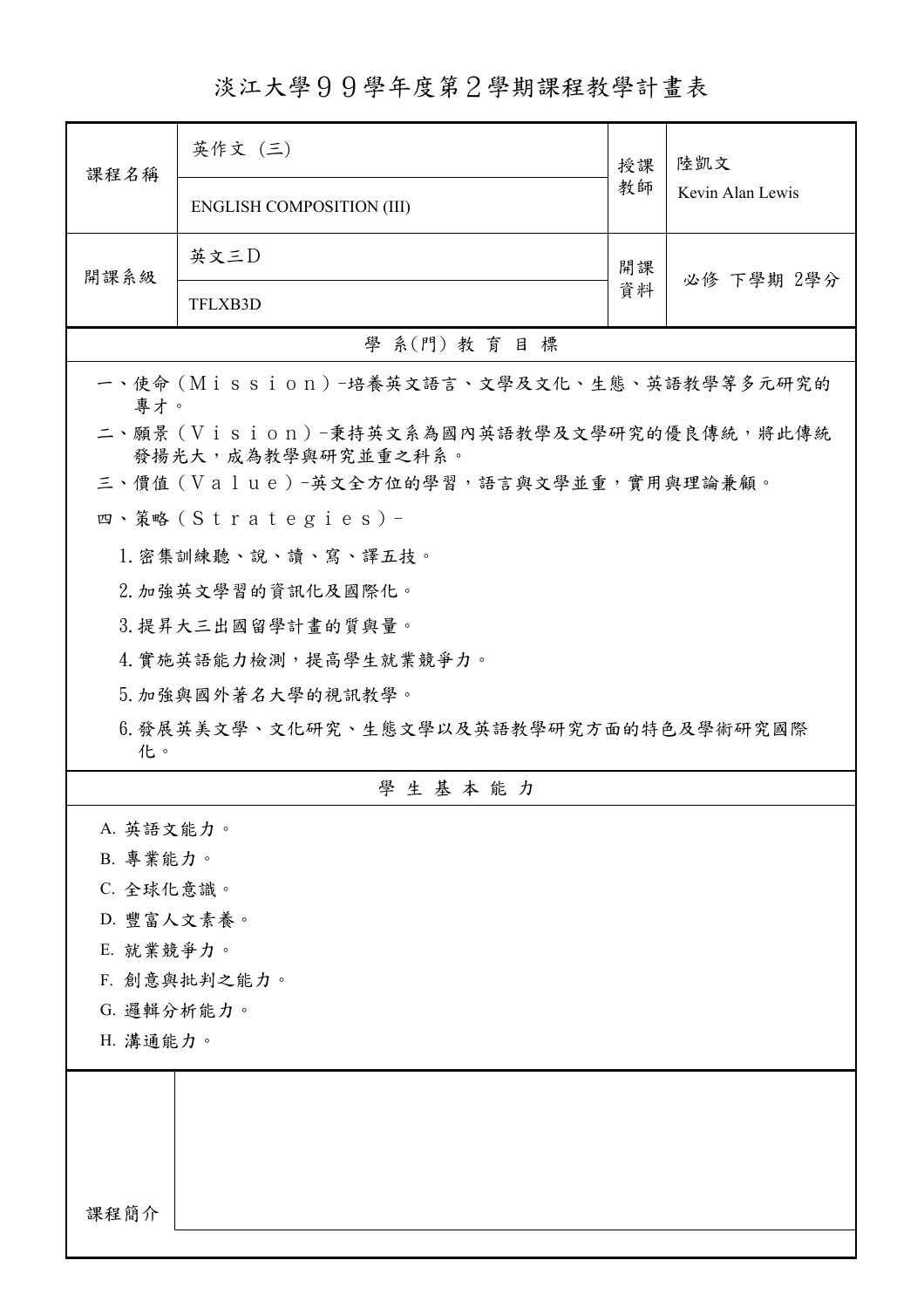淡江大學99學年度第2學期課程教學計畫表

| Kevin Alan Lewis<br><b>ENGLISH COMPOSITION (III)</b><br>英文三D<br>開課<br>開課系級<br>必修 下學期 2學分<br>資料<br>TFLXB3D<br>學 系(門) 教育目標<br>一、使命 (Mission) -培養英文語言、文學及文化、生態、英語教學等多元研究的<br>專才。<br>二、願景 (Vision)-秉持英文系為國內英語教學及文學研究的優良傳統,將此傳統<br>發揚光大,成為教學與研究並重之科系。<br>三、價值 (Value)-英文全方位的學習,語言與文學並重,實用與理論兼顧。<br>四、策略(Strategies)-<br>1. 密集訓練聽、說、讀、寫、譯五技。<br>2. 加強英文學習的資訊化及國際化。<br>3. 提昇大三出國留學計畫的質與量。<br>4. 實施英語能力檢測,提高學生就業競爭力。<br>5. 加強與國外著名大學的視訊教學。<br>6. 發展英美文學、文化研究、生態文學以及英語教學研究方面的特色及學術研究國際<br>化。<br>學生基本能力<br>A. 英語文能力。<br>B. 專業能力。<br>C. 全球化意識。<br>D. 豐富人文素養。<br>E. 就業競爭力。<br>F. 創意與批判之能力。<br>G. 邏輯分析能力。<br>H. 溝通能力。<br>課程簡介 | 課程名稱 | 英作文 (三) | 授課 | 陸凱文 |  |
|------------------------------------------------------------------------------------------------------------------------------------------------------------------------------------------------------------------------------------------------------------------------------------------------------------------------------------------------------------------------------------------------------------------------------------------------------------------------------------------------------------------------------------------------------------------------------------------------------------------|------|---------|----|-----|--|
|                                                                                                                                                                                                                                                                                                                                                                                                                                                                                                                                                                                                                  |      |         | 教師 |     |  |
|                                                                                                                                                                                                                                                                                                                                                                                                                                                                                                                                                                                                                  |      |         |    |     |  |
|                                                                                                                                                                                                                                                                                                                                                                                                                                                                                                                                                                                                                  |      |         |    |     |  |
|                                                                                                                                                                                                                                                                                                                                                                                                                                                                                                                                                                                                                  |      |         |    |     |  |
|                                                                                                                                                                                                                                                                                                                                                                                                                                                                                                                                                                                                                  |      |         |    |     |  |
|                                                                                                                                                                                                                                                                                                                                                                                                                                                                                                                                                                                                                  |      |         |    |     |  |
|                                                                                                                                                                                                                                                                                                                                                                                                                                                                                                                                                                                                                  |      |         |    |     |  |
|                                                                                                                                                                                                                                                                                                                                                                                                                                                                                                                                                                                                                  |      |         |    |     |  |
|                                                                                                                                                                                                                                                                                                                                                                                                                                                                                                                                                                                                                  |      |         |    |     |  |
|                                                                                                                                                                                                                                                                                                                                                                                                                                                                                                                                                                                                                  |      |         |    |     |  |
|                                                                                                                                                                                                                                                                                                                                                                                                                                                                                                                                                                                                                  |      |         |    |     |  |
|                                                                                                                                                                                                                                                                                                                                                                                                                                                                                                                                                                                                                  |      |         |    |     |  |
|                                                                                                                                                                                                                                                                                                                                                                                                                                                                                                                                                                                                                  |      |         |    |     |  |
|                                                                                                                                                                                                                                                                                                                                                                                                                                                                                                                                                                                                                  |      |         |    |     |  |
|                                                                                                                                                                                                                                                                                                                                                                                                                                                                                                                                                                                                                  |      |         |    |     |  |
|                                                                                                                                                                                                                                                                                                                                                                                                                                                                                                                                                                                                                  |      |         |    |     |  |
|                                                                                                                                                                                                                                                                                                                                                                                                                                                                                                                                                                                                                  |      |         |    |     |  |
|                                                                                                                                                                                                                                                                                                                                                                                                                                                                                                                                                                                                                  |      |         |    |     |  |
|                                                                                                                                                                                                                                                                                                                                                                                                                                                                                                                                                                                                                  |      |         |    |     |  |
|                                                                                                                                                                                                                                                                                                                                                                                                                                                                                                                                                                                                                  |      |         |    |     |  |
|                                                                                                                                                                                                                                                                                                                                                                                                                                                                                                                                                                                                                  |      |         |    |     |  |
|                                                                                                                                                                                                                                                                                                                                                                                                                                                                                                                                                                                                                  |      |         |    |     |  |
|                                                                                                                                                                                                                                                                                                                                                                                                                                                                                                                                                                                                                  |      |         |    |     |  |
|                                                                                                                                                                                                                                                                                                                                                                                                                                                                                                                                                                                                                  |      |         |    |     |  |
|                                                                                                                                                                                                                                                                                                                                                                                                                                                                                                                                                                                                                  |      |         |    |     |  |
|                                                                                                                                                                                                                                                                                                                                                                                                                                                                                                                                                                                                                  |      |         |    |     |  |
|                                                                                                                                                                                                                                                                                                                                                                                                                                                                                                                                                                                                                  |      |         |    |     |  |
|                                                                                                                                                                                                                                                                                                                                                                                                                                                                                                                                                                                                                  |      |         |    |     |  |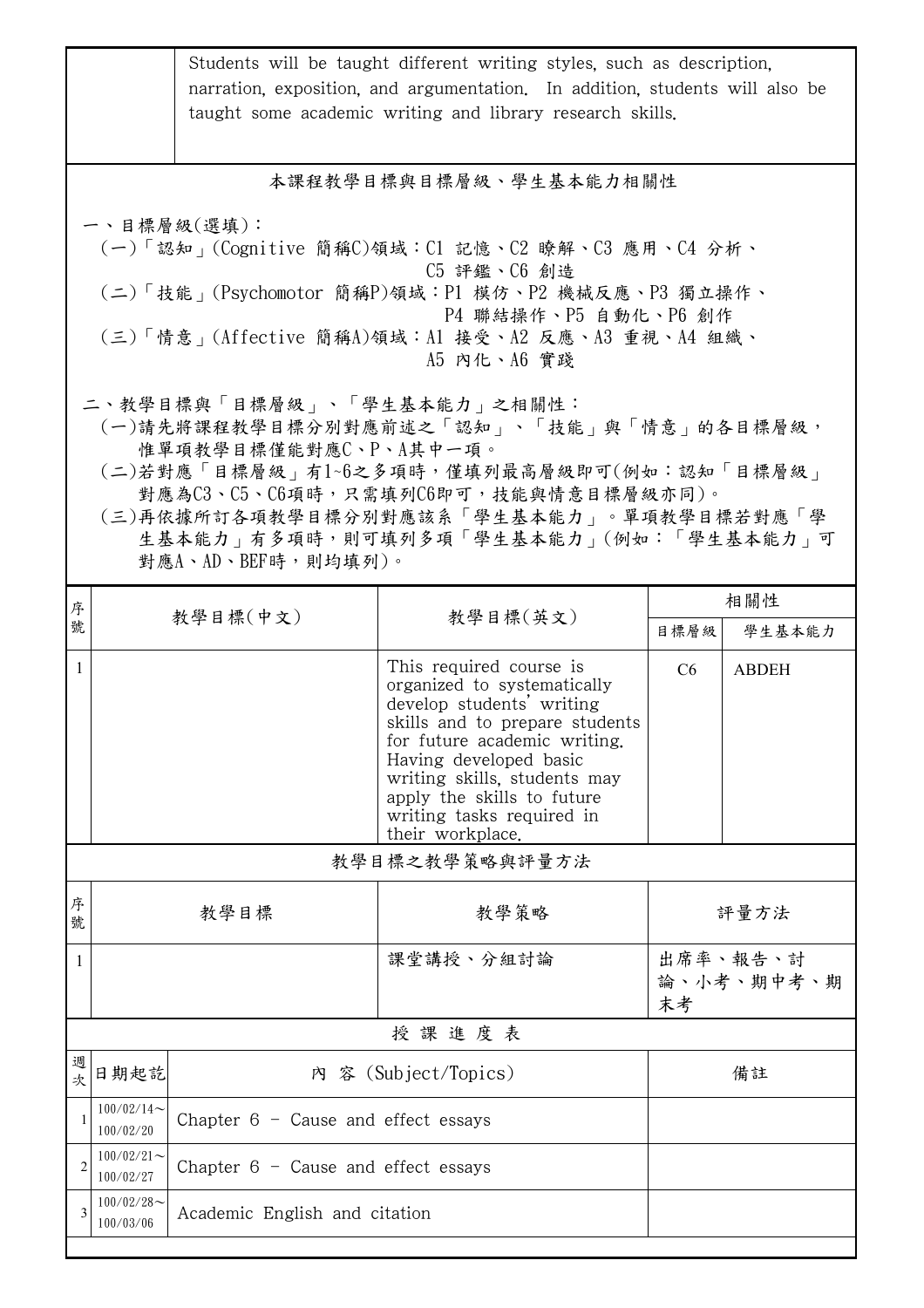|                                                                                                                                                                                                                                                                                                          | Students will be taught different writing styles, such as description,<br>narration, exposition, and argumentation. In addition, students will also be<br>taught some academic writing and library research skills. |                                       |                                                                                                                                                                                                                                                                                                |                              |              |  |  |
|----------------------------------------------------------------------------------------------------------------------------------------------------------------------------------------------------------------------------------------------------------------------------------------------------------|---------------------------------------------------------------------------------------------------------------------------------------------------------------------------------------------------------------------|---------------------------------------|------------------------------------------------------------------------------------------------------------------------------------------------------------------------------------------------------------------------------------------------------------------------------------------------|------------------------------|--------------|--|--|
| 本課程教學目標與目標層級、學生基本能力相關性                                                                                                                                                                                                                                                                                   |                                                                                                                                                                                                                     |                                       |                                                                                                                                                                                                                                                                                                |                              |              |  |  |
| 一、目標層級(選填):<br>(一)「認知」(Cognitive 簡稱C)領域:C1 記憶、C2 瞭解、C3 應用、C4 分析、<br>C5 評鑑、C6 創造<br>(二)「技能 <sub>」</sub> (Psychomotor 簡稱P)領域:P1 模仿、P2 機械反應、P3 獨立操作、<br>P4 聯結操作、P5 自動化、P6 創作<br>(三)「情意」(Affective 簡稱A)領域:A1 接受、A2 反應、A3 重視、A4 組織、<br>A5 内化、A6 實踐                                                            |                                                                                                                                                                                                                     |                                       |                                                                                                                                                                                                                                                                                                |                              |              |  |  |
| 二、教學目標與「目標層級」、「學生基本能力」之相關性:<br>(一)請先將課程教學目標分別對應前述之「認知」、「技能」與「情意」的各目標層級,<br>惟單項教學目標僅能對應C、P、A其中一項。<br>(二)若對應「目標層級」有1~6之多項時,僅填列最高層級即可(例如:認知「目標層級」<br>對應為C3、C5、C6項時,只需填列C6即可,技能與情意目標層級亦同)。<br>(三)再依據所訂各項教學目標分別對應該系「學生基本能力」。單項教學目標若對應「學<br>生基本能力   有多項時,則可填列多項「學生基本能力   (例如:「學生基本能力   可<br>對應A、AD、BEF時,則均填列)。 |                                                                                                                                                                                                                     |                                       |                                                                                                                                                                                                                                                                                                |                              |              |  |  |
| 序                                                                                                                                                                                                                                                                                                        |                                                                                                                                                                                                                     | 教學目標(中文)                              | 教學目標(英文)                                                                                                                                                                                                                                                                                       |                              | 相關性          |  |  |
| 號                                                                                                                                                                                                                                                                                                        |                                                                                                                                                                                                                     |                                       |                                                                                                                                                                                                                                                                                                | 目標層級                         | 學生基本能力       |  |  |
| $\mathbf{1}$                                                                                                                                                                                                                                                                                             |                                                                                                                                                                                                                     |                                       | This required course is<br>organized to systematically<br>develop students' writing<br>skills and to prepare students<br>for future academic writing.<br>Having developed basic<br>writing skills, students may<br>apply the skills to future<br>writing tasks required in<br>their workplace. | C6                           | <b>ABDEH</b> |  |  |
| 教學目標之教學策略與評量方法                                                                                                                                                                                                                                                                                           |                                                                                                                                                                                                                     |                                       |                                                                                                                                                                                                                                                                                                |                              |              |  |  |
| 序<br>號                                                                                                                                                                                                                                                                                                   | 教學策略<br>教學目標                                                                                                                                                                                                        |                                       | 評量方法                                                                                                                                                                                                                                                                                           |                              |              |  |  |
| 1                                                                                                                                                                                                                                                                                                        |                                                                                                                                                                                                                     |                                       | 課堂講授、分組討論                                                                                                                                                                                                                                                                                      | 出席率、報告、討<br>論、小考、期中考、期<br>末考 |              |  |  |
| 授課進度表                                                                                                                                                                                                                                                                                                    |                                                                                                                                                                                                                     |                                       |                                                                                                                                                                                                                                                                                                |                              |              |  |  |
| 週<br>次                                                                                                                                                                                                                                                                                                   | 日期起訖<br>內 容 (Subject/Topics)                                                                                                                                                                                        |                                       |                                                                                                                                                                                                                                                                                                | 備註                           |              |  |  |
| $\mathbf{1}$                                                                                                                                                                                                                                                                                             | $100/02/14$ ~<br>Chapter $6 -$ Cause and effect essays<br>100/02/20                                                                                                                                                 |                                       |                                                                                                                                                                                                                                                                                                |                              |              |  |  |
| $\overline{2}$                                                                                                                                                                                                                                                                                           | $100/02/21$ ~<br>100/02/27                                                                                                                                                                                          | Chapter $6$ - Cause and effect essays |                                                                                                                                                                                                                                                                                                |                              |              |  |  |
| 3                                                                                                                                                                                                                                                                                                        | $100/02/28$ ~<br>100/03/06                                                                                                                                                                                          | Academic English and citation         |                                                                                                                                                                                                                                                                                                |                              |              |  |  |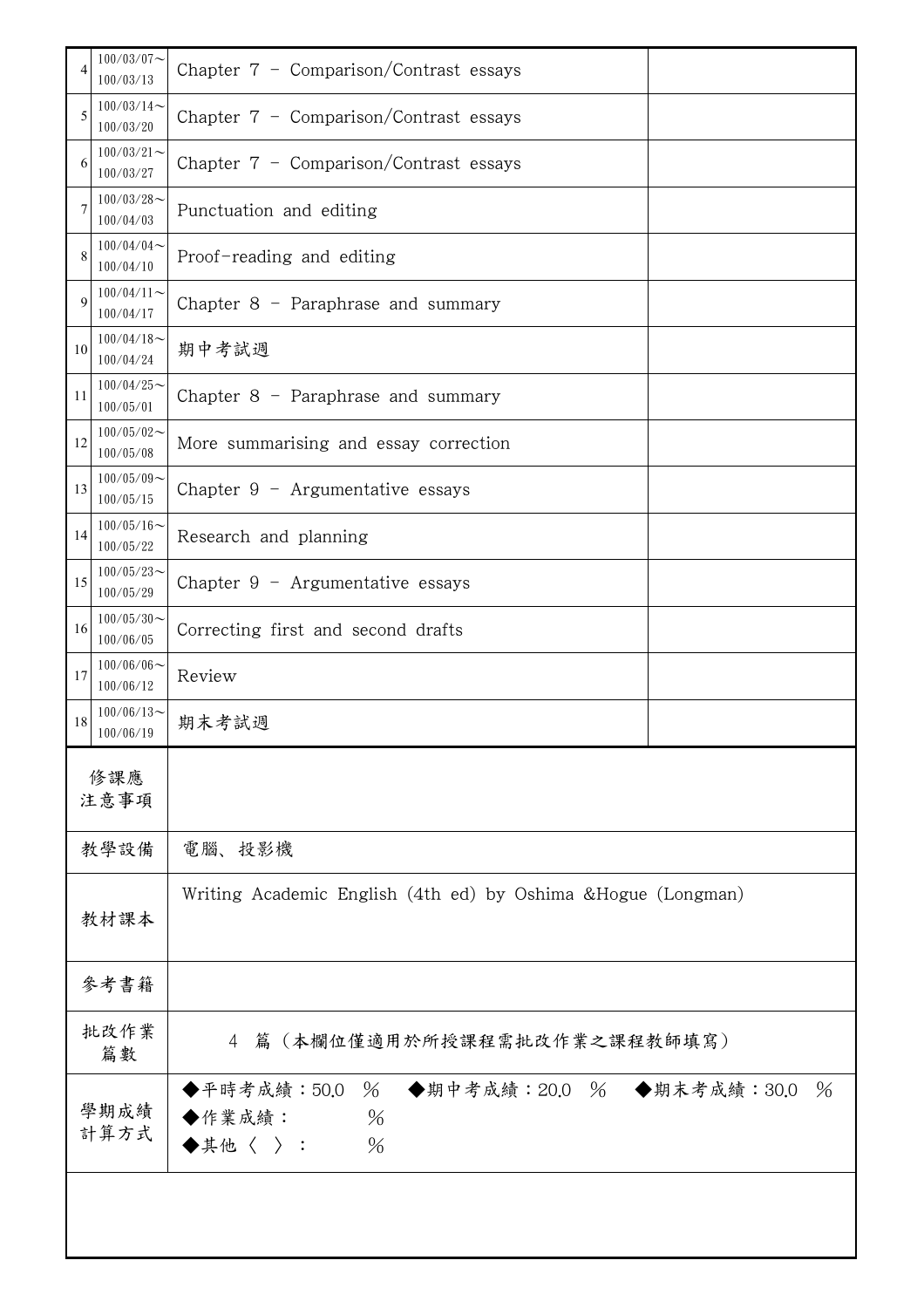| 4           | $100/03/07\mathord\sim$<br>100/03/13 | Chapter $7$ - Comparison/Contrast essays                                                                      |  |
|-------------|--------------------------------------|---------------------------------------------------------------------------------------------------------------|--|
| 5           | $100/03/14$ ~<br>100/03/20           | Chapter $7$ - Comparison/Contrast essays                                                                      |  |
| 6           | $100/03/21$ ~<br>100/03/27           | Chapter $7$ - Comparison/Contrast essays                                                                      |  |
| 7           | $100/03/28$ ~<br>100/04/03           | Punctuation and editing                                                                                       |  |
| 8           | $100/04/04$ ~<br>100/04/10           | Proof-reading and editing                                                                                     |  |
| $\mathbf Q$ | $100/04/11$ ~<br>100/04/17           | Chapter $8$ – Paraphrase and summary                                                                          |  |
| 10          | $100/04/18$ ~<br>100/04/24           | 期中考試週                                                                                                         |  |
| 11          | $100/04/25$ ~<br>100/05/01           | Chapter $8$ – Paraphrase and summary                                                                          |  |
| 12          | $100/05/02$ ~<br>100/05/08           | More summarising and essay correction                                                                         |  |
| 13          | $100/05/09$ ~<br>100/05/15           | Chapter $9$ - Argumentative essays                                                                            |  |
| 14          | $100/05/16$ ~<br>100/05/22           | Research and planning                                                                                         |  |
| 15          | $100/05/23$ ~<br>100/05/29           | Chapter $9$ – Argumentative essays                                                                            |  |
| 16          | $100/05/30$ ~<br>100/06/05           | Correcting first and second drafts                                                                            |  |
| 17          | $100/06/06$ ~<br>100/06/12           | Review                                                                                                        |  |
| 18          | $100/06/13$ ~<br>100/06/19           | 期末考試週                                                                                                         |  |
|             | 修課應<br>注意事項                          |                                                                                                               |  |
|             | 教學設備                                 | 電腦、投影機                                                                                                        |  |
|             | 教材課本                                 | Writing Academic English (4th ed) by Oshima & Hogue (Longman)                                                 |  |
|             | 參考書籍                                 |                                                                                                               |  |
|             | 批改作業<br>篇數                           | 4 篇 (本欄位僅適用於所授課程需批改作業之課程教師填寫)                                                                                 |  |
|             | 學期成績<br>計算方式                         | ◆平時考成績:50.0 % ◆期中考成績:20.0 % ◆期末考成績:30.0<br>$\frac{0}{6}$<br>$\%$<br>◆作業成績:<br>$\blacklozenge$ 其他〈 〉 :<br>$\%$ |  |
|             |                                      |                                                                                                               |  |